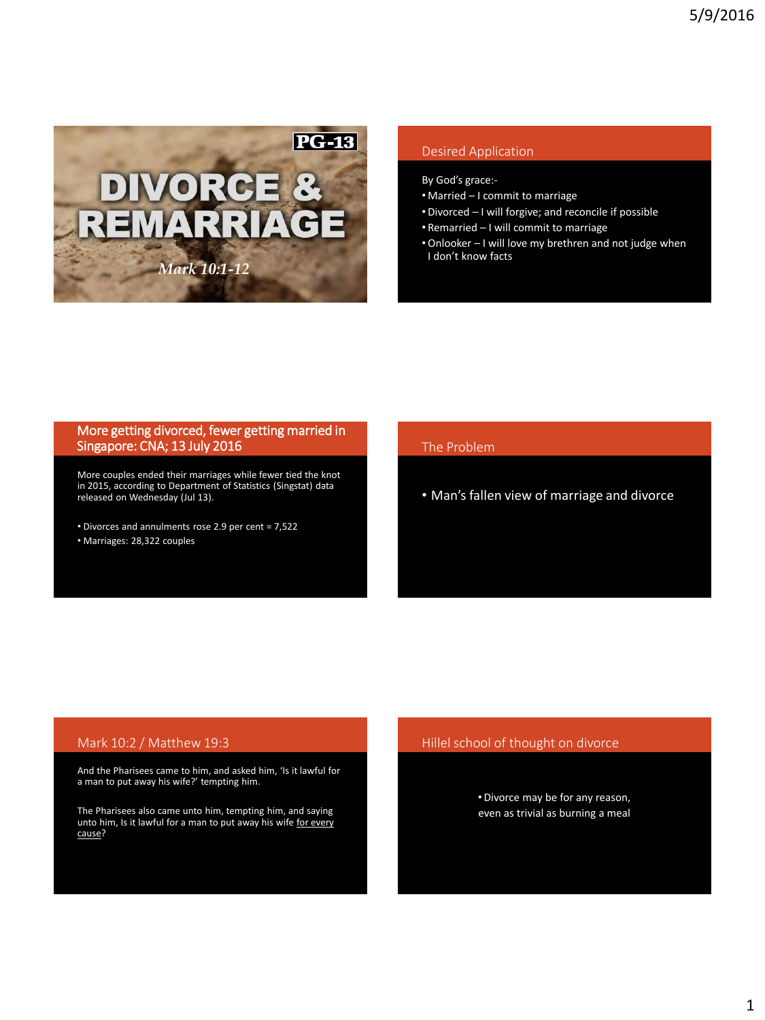

# Desired Application

By God's grace:-

- Married I commit to marriage
- Divorced I will forgive; and reconcile if possible
- Remarried I will commit to marriage
- •Onlooker I will love my brethren and not judge when I don't know facts

## More getting divorced, fewer getting married in Singapore: CNA; 13 July 2016

More couples ended their marriages while fewer tied the knot in 2015, according to Department of Statistics (Singstat) data released on Wednesday (Jul 13).

• Divorces and annulments rose 2.9 per cent = 7,522 • Marriages: 28,322 couples

## The Problem

• Man's fallen view of marriage and divorce

## Mark 10:2 / Matthew 19:3

And the Pharisees came to him, and asked him, 'Is it lawful for a man to put away his wife?' tempting him.

The Pharisees also came unto him, tempting him, and saying unto him, Is it lawful for a man to put away his wife for every cause?

## Hillel school of thought on divorce

• Divorce may be for any reason, even as trivial as burning a meal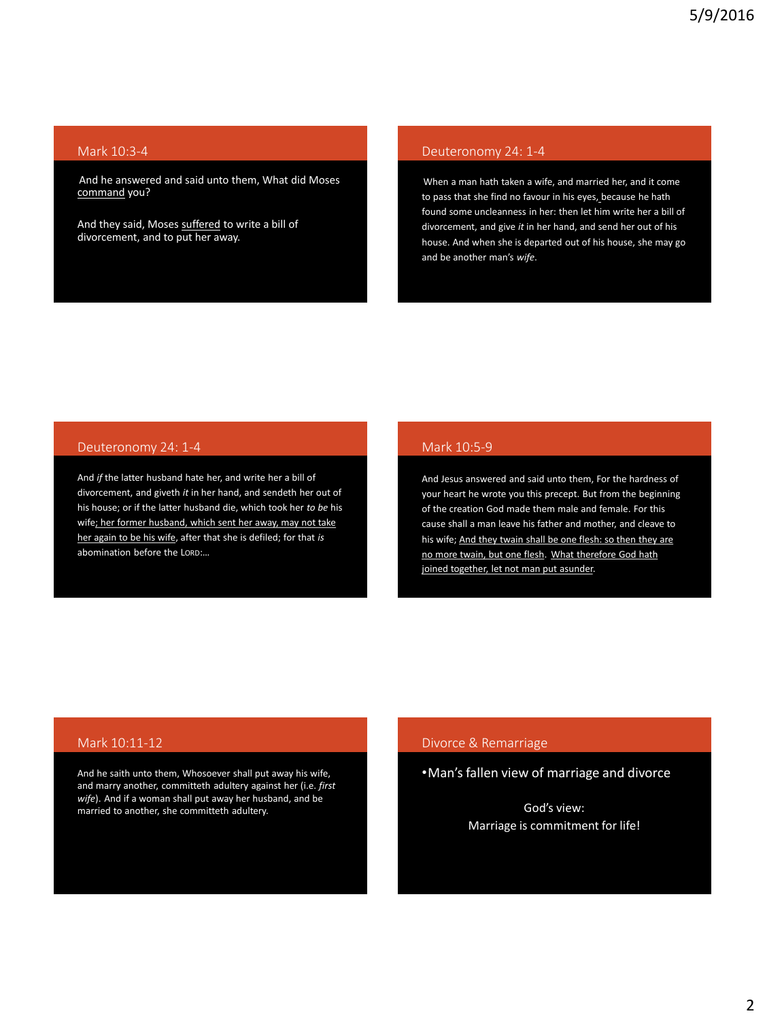### Mark 10:3-4

And he answered and said unto them, What did Moses command you?

And they said, Moses suffered to write a bill of divorcement, and to put her away.

## Deuteronomy 24: 1-4

When a man hath taken a wife, and married her, and it come to pass that she find no favour in his eyes, because he hath found some uncleanness in her: then let him write her a bill of divorcement, and give *it* in her hand, and send her out of his house. And when she is departed out of his house, she may go and be another man's *wife*.

# Deuteronomy 24: 1-4

And *if* the latter husband hate her, and write her a bill of divorcement, and giveth *it* in her hand, and sendeth her out of his house; or if the latter husband die, which took her *to be* his wife; her former husband, which sent her away, may not take her again to be his wife, after that she is defiled; for that *is* abomination before the LORD:…

## Mark 10:5-9

And Jesus answered and said unto them, For the hardness of your heart he wrote you this precept. But from the beginning of the creation God made them male and female. For this cause shall a man leave his father and mother, and cleave to his wife; And they twain shall be one flesh: so then they are no more twain, but one flesh. What therefore God hath joined together, let not man put asunder.

## Mark 10:11-12

And he saith unto them, Whosoever shall put away his wife, and marry another, committeth adultery against her (i.e. *first wife*). And if a woman shall put away her husband, and be married to another, she committeth adultery.

## Divorce & Remarriage

•Man's fallen view of marriage and divorce

God's view: Marriage is commitment for life!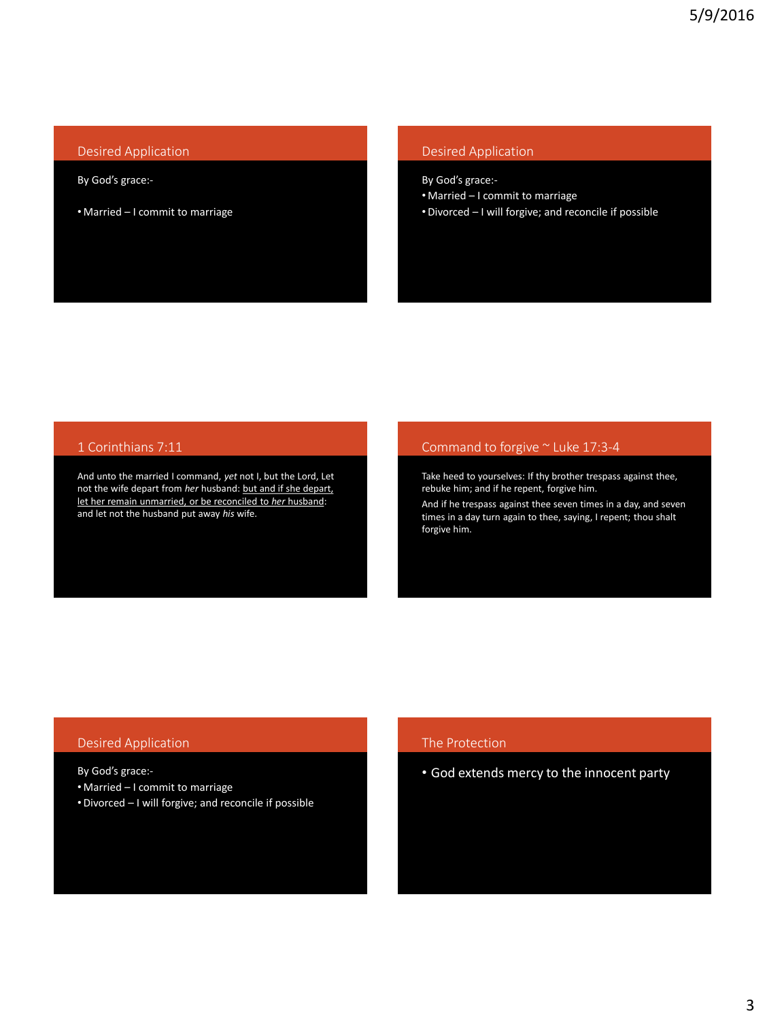## Desired Application

#### By God's grace:-

• Married – I commit to marriage

## Desired Application

By God's grace:-

- Married I commit to marriage
- Divorced I will forgive; and reconcile if possible

## 1 Corinthians 7:11

And unto the married I command, *yet* not I, but the Lord, Let not the wife depart from *her* husband: but and if she depart, let her remain unmarried, or be reconciled to *her* husband: and let not the husband put away *his* wife.

### Command to forgive ~ Luke 17:3-4

Take heed to yourselves: If thy brother trespass against thee, rebuke him; and if he repent, forgive him.

And if he trespass against thee seven times in a day, and seven times in a day turn again to thee, saying, I repent; thou shalt forgive him.

### Desired Application

By God's grace:-

- Married I commit to marriage
- Divorced I will forgive; and reconcile if possible

### The Protection

• God extends mercy to the innocent party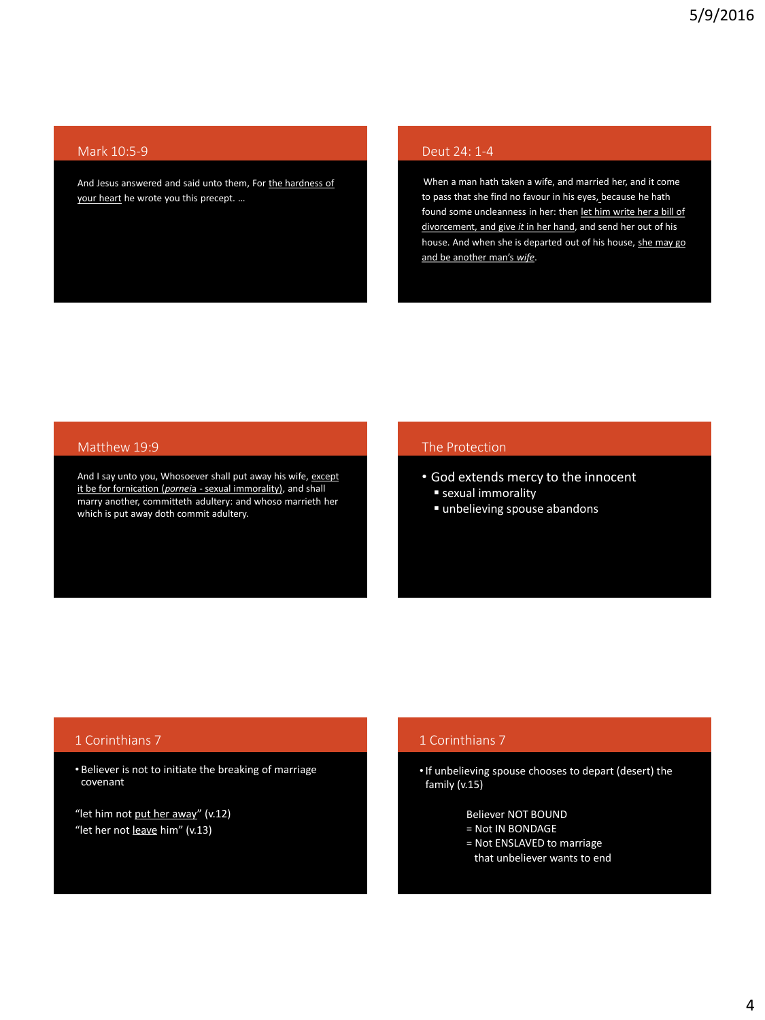### Mark 10:5-9

And Jesus answered and said unto them, For the hardness of your heart he wrote you this precept. …

## Deut 24: 1-4

When a man hath taken a wife, and married her, and it come to pass that she find no favour in his eyes, because he hath found some uncleanness in her: then let him write her a bill of divorcement, and give *it* in her hand, and send her out of his house. And when she is departed out of his house, she may go and be another man's *wife*.

### Matthew 19:9

And I say unto you, Whosoever shall put away his wife, except it be for fornication (*pornei*a - sexual immorality), and shall marry another, committeth adultery: and whoso marrieth her which is put away doth commit adultery.

### The Protection

- God extends mercy to the innocent
	- sexual immorality
	- unbelieving spouse abandons

## 1 Corinthians 7

• Believer is not to initiate the breaking of marriage covenant

"let him not put her away" (v.12) "let her not leave him" (v.13)

# 1 Corinthians 7

•If unbelieving spouse chooses to depart (desert) the family (v.15)

Believer NOT BOUND

- = Not IN BONDAGE
- = Not ENSLAVED to marriage
- that unbeliever wants to end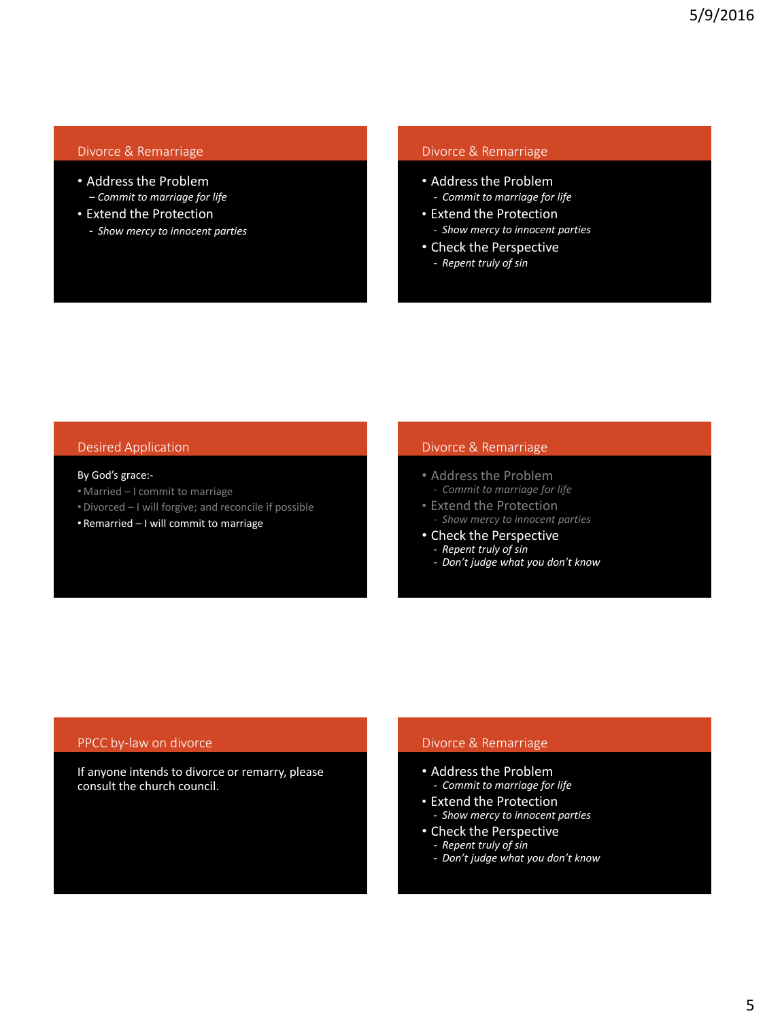## Divorce & Remarriage

- Address the Problem *– Commit to marriage for life*
- Extend the Protection
	- *Show mercy to innocent parties*

## Divorce & Remarriage

- Address the Problem *- Commit to marriage for life*
- Extend the Protection - *Show mercy to innocent parties*
- Check the Perspective
	- *Repent truly of sin*

### Desired Application

#### By God's grace:-

- Married I commit to marriage
- Divorced I will forgive; and reconcile if possible
- Remarried I will commit to marriage

### Divorce & Remarriage

- Address the Problem *- Commit to marriage for life*
- Extend the Protection
	- *Show mercy to innocent parties*
- Check the Perspective - *Repent truly of sin*
	- *Don't judge what you don't know*

### PPCC by-law on divorce

If anyone intends to divorce or remarry, please consult the church council.

## Divorce & Remarriage

- Address the Problem *- Commit to marriage for life*
- Extend the Protection
- *Show mercy to innocent parties*
- Check the Perspective - *Repent truly of sin*
	- *Don't judge what you don't know*